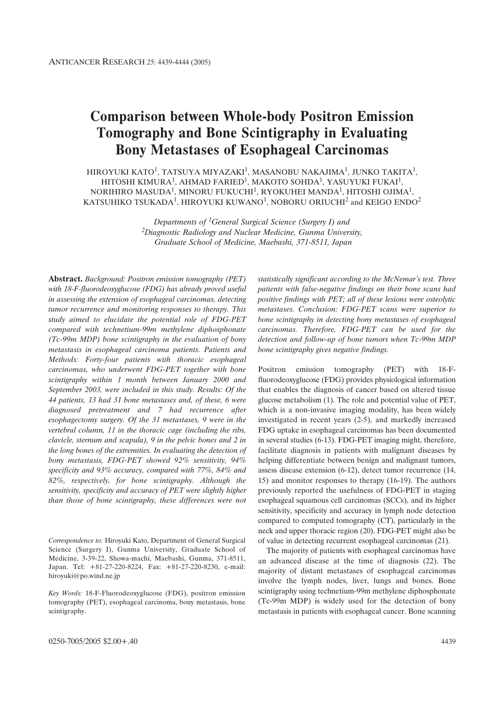# **Comparison between Whole-body Positron Emission Tomography and Bone Scintigraphy in Evaluating Bony Metastases of Esophageal Carcinomas**

HIROYUKI KATO<sup>1</sup>, TATSUYA MIYAZAKI<sup>1</sup>, MASANOBU NAKAJIMA<sup>1</sup>, JUNKO TAKITA<sup>1</sup>, HITOSHI KIMURA<sup>1</sup>, AHMAD FARIED<sup>1</sup>, MAKOTO SOHDA<sup>1</sup>, YASUYUKI FUKAI<sup>1</sup>, NORIHIRO MASUDA<sup>1</sup>, MINORU FUKUCHI<sup>1</sup>, RYOKUHEI MANDA<sup>1</sup>, HITOSHI OJIMA<sup>1</sup>, KATSUHIKO TSUKADA<sup>1</sup>, HIROYUKI KUWANO<sup>1</sup>, NOBORU ORIUCHI<sup>2</sup> and KEIGO ENDO<sup>2</sup>

> *Departments of 1General Surgical Science (Surgery I) and 2Diagnostic Radiology and Nuclear Medicine, Gunma University, Graduate School of Medicine, Maebashi, 371-8511, Japan*

**Abstract.** *Background: Positron emission tomography (PET) with 18-F-fluorodeoxyglucose (FDG) has already proved useful in assessing the extension of esophageal carcinomas, detecting tumor recurrence and monitoring responses to therapy. This study aimed to elucidate the potential role of FDG-PET compared with technetium-99m methylene diphosphonate (Tc-99m MDP) bone scintigraphy in the evaluation of bony metastasis in esophageal carcinoma patients. Patients and Methods: Forty-four patients with thoracic esophageal carcinomas, who underwent FDG-PET together with bone scintigraphy within 1 month between January 2000 and September 2003, were included in this study. Results: Of the 44 patients, 13 had 31 bone metastases and, of these, 6 were diagnosed pretreatment and 7 had recurrence after esophagectomy surgery. Of the 31 metastases, 9 were in the vertebral column, 11 in the thoracic cage (including the ribs, clavicle, sternum and scapula), 9 in the pelvic bones and 2 in the long bones of the extremities. In evaluating the detection of bony metastasis, FDG-PET showed 92% sensitivity, 94% specificity and 93% accuracy, compared with 77%, 84% and 82%, respectively, for bone scintigraphy. Although the sensitivity, specificity and accuracy of PET were slightly higher than those of bone scintigraphy, these differences were not*

*Correspondence to:* Hiroyuki Kato, Department of General Surgical Science (Surgery I), Gunma University, Graduate School of Medicine, 3-39-22, Showa-machi, Maebashi, Gunma, 371-8511, Japan. Tel: +81-27-220-8224, Fax: +81-27-220-8230, e-mail: hiroyuki@po.wind.ne.jp

*Key Words:* 18-F-Fluorodeoxyglucose (FDG), positron emission tomography (PET), esophageal carcinoma, bony metastasis, bone scintigraphy.

*statistically significant according to the McNemar's test. Three patients with false-negative findings on their bone scans had positive findings with PET; all of these lesions were osteolytic metastases. Conclusion: FDG-PET scans were superior to bone scintigraphy in detecting bony metastases of esophageal carcinomas. Therefore, FDG-PET can be used for the detection and follow-up of bone tumors when Tc-99m MDP bone scintigraphy gives negative findings.*

Positron emission tomography (PET) with 18-Ffluorodeoxyglucose (FDG) provides physiological information that enables the diagnosis of cancer based on altered tissue glucose metabolism (1). The role and potential value of PET, which is a non-invasive imaging modality, has been widely investigated in recent years (2-5), and markedly increased FDG uptake in esophageal carcinomas has been documented in several studies (6-13). FDG-PET imaging might, therefore, facilitate diagnosis in patients with malignant diseases by helping differentiate between benign and malignant tumors, assess disease extension (6-12), detect tumor recurrence (14, 15) and monitor responses to therapy (16-19). The authors previously reported the usefulness of FDG-PET in staging esophageal squamous cell carcinomas (SCCs), and its higher sensitivity, specificity and accuracy in lymph node detection compared to computed tomography (CT), particularly in the neck and upper thoracic region (20). FDG-PET might also be of value in detecting recurrent esophageal carcinomas (21).

The majority of patients with esophageal carcinomas have an advanced disease at the time of diagnosis (22). The majority of distant metastases of esophageal carcinomas involve the lymph nodes, liver, lungs and bones. Bone scintigraphy using technetium-99m methylene diphosphonate (Tc-99m MDP) is widely used for the detection of bony metastasis in patients with esophageal cancer. Bone scanning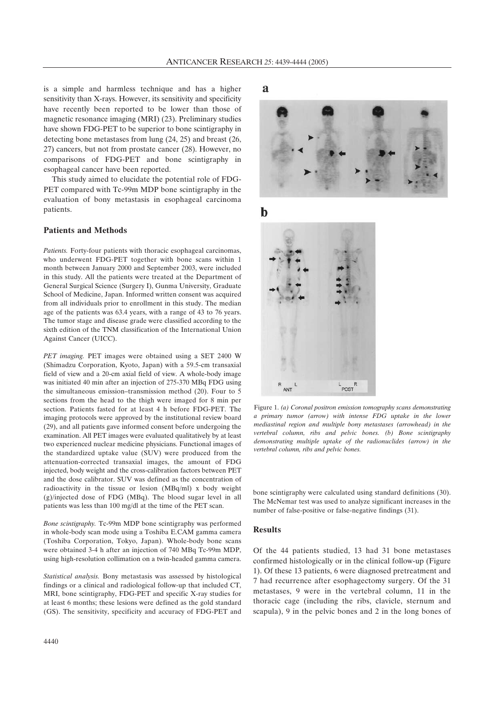is a simple and harmless technique and has a higher sensitivity than X-rays. However, its sensitivity and specificity have recently been reported to be lower than those of magnetic resonance imaging (MRI) (23). Preliminary studies have shown FDG-PET to be superior to bone scintigraphy in detecting bone metastases from lung (24, 25) and breast (26, 27) cancers, but not from prostate cancer (28). However, no comparisons of FDG-PET and bone scintigraphy in esophageal cancer have been reported.

This study aimed to elucidate the potential role of FDG-PET compared with Tc-99m MDP bone scintigraphy in the evaluation of bony metastasis in esophageal carcinoma patients.

#### **Patients and Methods**

*Patients.* Forty-four patients with thoracic esophageal carcinomas, who underwent FDG-PET together with bone scans within 1 month between January 2000 and September 2003, were included in this study. All the patients were treated at the Department of General Surgical Science (Surgery I), Gunma University, Graduate School of Medicine, Japan. Informed written consent was acquired from all individuals prior to enrollment in this study. The median age of the patients was 63.4 years, with a range of 43 to 76 years. The tumor stage and disease grade were classified according to the sixth edition of the TNM classification of the International Union Against Cancer (UICC).

*PET imaging.* PET images were obtained using a SET 2400 W (Shimadzu Corporation, Kyoto, Japan) with a 59.5-cm transaxial field of view and a 20-cm axial field of view. A whole-body image was initiated 40 min after an injection of 275-370 MBq FDG using the simultaneous emission–transmission method  $(20)$ . Four to 5 sections from the head to the thigh were imaged for 8 min per section. Patients fasted for at least 4 h before FDG-PET. The imaging protocols were approved by the institutional review board (29), and all patients gave informed consent before undergoing the examination. All PET images were evaluated qualitatively by at least two experienced nuclear medicine physicians. Functional images of the standardized uptake value (SUV) were produced from the attenuation-corrected transaxial images, the amount of FDG injected, body weight and the cross-calibration factors between PET and the dose calibrator. SUV was defined as the concentration of radioactivity in the tissue or lesion (MBq/ml) x body weight (g)/injected dose of FDG (MBq). The blood sugar level in all patients was less than 100 mg/dl at the time of the PET scan.

*Bone scintigraphy.* Tc-99m MDP bone scintigraphy was performed in whole-body scan mode using a Toshiba E.CAM gamma camera (Toshiba Corporation, Tokyo, Japan). Whole-body bone scans were obtained 3-4 h after an injection of 740 MBq Tc-99m MDP, using high-resolution collimation on a twin-headed gamma camera.

*Statistical analysis.* Bony metastasis was assessed by histological findings or a clinical and radiological follow-up that included CT, MRI, bone scintigraphy, FDG-PET and specific X-ray studies for at least 6 months; these lesions were defined as the gold standard (GS). The sensitivity, specificity and accuracy of FDG-PET and

 $\mathbf{a}$ 



 $\mathbf b$ 



Figure 1. *(a) Coronal positron emission tomography scans demonstrating a primary tumor (arrow) with intense FDG uptake in the lower mediastinal region and multiple bony metastases (arrowhead) in the vertebral column, ribs and pelvic bones. (b) Bone scintigraphy demonstrating multiple uptake of the radionuclides (arrow) in the vertebral column, ribs and pelvic bones.*

bone scintigraphy were calculated using standard definitions (30). The McNemar test was used to analyze significant increases in the number of false-positive or false-negative findings (31).

## **Results**

Of the 44 patients studied, 13 had 31 bone metastases confirmed histologically or in the clinical follow-up (Figure 1). Of these 13 patients, 6 were diagnosed pretreatment and 7 had recurrence after esophagectomy surgery. Of the 31 metastases, 9 were in the vertebral column, 11 in the thoracic cage (including the ribs, clavicle, sternum and scapula), 9 in the pelvic bones and 2 in the long bones of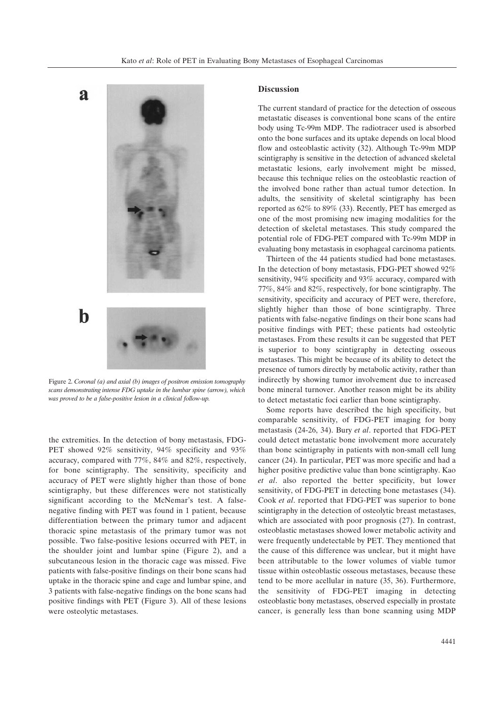

Figure 2. *Coronal (a) and axial (b) images of positron emission tomography scans demonstrating intense FDG uptake in the lumbar spine (arrow), which was proved to be a false-positive lesion in a clinical follow-up.*

the extremities. In the detection of bony metastasis, FDG-PET showed 92% sensitivity, 94% specificity and 93% accuracy, compared with 77%, 84% and 82%, respectively, for bone scintigraphy. The sensitivity, specificity and accuracy of PET were slightly higher than those of bone scintigraphy, but these differences were not statistically significant according to the McNemar's test. A falsenegative finding with PET was found in 1 patient, because differentiation between the primary tumor and adjacent thoracic spine metastasis of the primary tumor was not possible. Two false-positive lesions occurred with PET, in the shoulder joint and lumbar spine (Figure 2), and a subcutaneous lesion in the thoracic cage was missed. Five patients with false-positive findings on their bone scans had uptake in the thoracic spine and cage and lumbar spine, and 3 patients with false-negative findings on the bone scans had positive findings with PET (Figure 3). All of these lesions were osteolytic metastases.

#### **Discussion**

The current standard of practice for the detection of osseous metastatic diseases is conventional bone scans of the entire body using Tc-99m MDP. The radiotracer used is absorbed onto the bone surfaces and its uptake depends on local blood flow and osteoblastic activity (32). Although Tc-99m MDP scintigraphy is sensitive in the detection of advanced skeletal metastatic lesions, early involvement might be missed, because this technique relies on the osteoblastic reaction of the involved bone rather than actual tumor detection. In adults, the sensitivity of skeletal scintigraphy has been reported as 62% to 89% (33). Recently, PET has emerged as one of the most promising new imaging modalities for the detection of skeletal metastases. This study compared the potential role of FDG-PET compared with Tc-99m MDP in evaluating bony metastasis in esophageal carcinoma patients.

Thirteen of the 44 patients studied had bone metastases. In the detection of bony metastasis, FDG-PET showed 92% sensitivity, 94% specificity and 93% accuracy, compared with 77%, 84% and 82%, respectively, for bone scintigraphy. The sensitivity, specificity and accuracy of PET were, therefore, slightly higher than those of bone scintigraphy. Three patients with false-negative findings on their bone scans had positive findings with PET; these patients had osteolytic metastases. From these results it can be suggested that PET is superior to bony scintigraphy in detecting osseous metastases. This might be because of its ability to detect the presence of tumors directly by metabolic activity, rather than indirectly by showing tumor involvement due to increased bone mineral turnover. Another reason might be its ability to detect metastatic foci earlier than bone scintigraphy.

Some reports have described the high specificity, but comparable sensitivity, of FDG-PET imaging for bony metastasis (24-26, 34). Bury *et al*. reported that FDG-PET could detect metastatic bone involvement more accurately than bone scintigraphy in patients with non-small cell lung cancer (24). In particular, PET was more specific and had a higher positive predictive value than bone scintigraphy. Kao *et al*. also reported the better specificity, but lower sensitivity, of FDG-PET in detecting bone metastases (34). Cook *et al*. reported that FDG-PET was superior to bone scintigraphy in the detection of osteolytic breast metastases, which are associated with poor prognosis (27). In contrast, osteoblastic metastases showed lower metabolic activity and were frequently undetectable by PET. They mentioned that the cause of this difference was unclear, but it might have been attributable to the lower volumes of viable tumor tissue within osteoblastic osseous metastases, because these tend to be more acellular in nature (35, 36). Furthermore, the sensitivity of FDG-PET imaging in detecting osteoblastic bony metastases, observed especially in prostate cancer, is generally less than bone scanning using MDP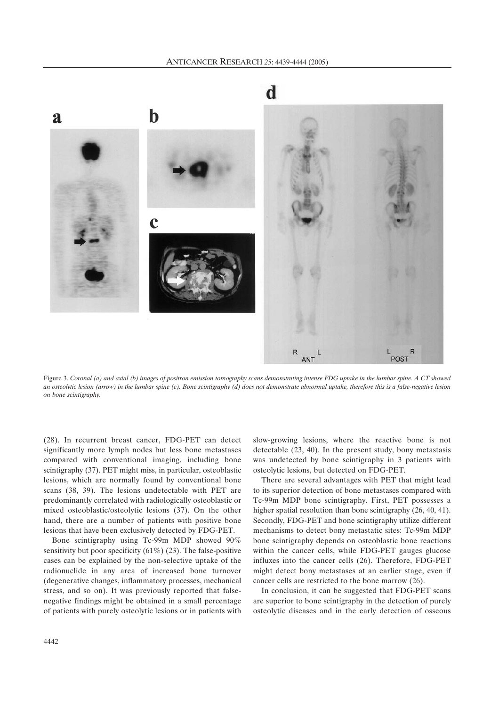

Figure 3. *Coronal (a) and axial (b) images of positron emission tomography scans demonstrating intense FDG uptake in the lumbar spine. A CT showed an osteolytic lesion (arrow) in the lumbar spine (c). Bone scintigraphy (d) does not demonstrate abnormal uptake, therefore this is a false-negative lesion on bone scintigraphy.*

(28). In recurrent breast cancer, FDG-PET can detect significantly more lymph nodes but less bone metastases compared with conventional imaging, including bone scintigraphy (37). PET might miss, in particular, osteoblastic lesions, which are normally found by conventional bone scans (38, 39). The lesions undetectable with PET are predominantly correlated with radiologically osteoblastic or mixed osteoblastic/osteolytic lesions (37). On the other hand, there are a number of patients with positive bone lesions that have been exclusively detected by FDG-PET.

Bone scintigraphy using Tc-99m MDP showed 90% sensitivity but poor specificity  $(61\%)$  (23). The false-positive cases can be explained by the non-selective uptake of the radionuclide in any area of increased bone turnover (degenerative changes, inflammatory processes, mechanical stress, and so on). It was previously reported that falsenegative findings might be obtained in a small percentage of patients with purely osteolytic lesions or in patients with slow-growing lesions, where the reactive bone is not detectable (23, 40). In the present study, bony metastasis was undetected by bone scintigraphy in 3 patients with osteolytic lesions, but detected on FDG-PET.

There are several advantages with PET that might lead to its superior detection of bone metastases compared with Tc-99m MDP bone scintigraphy. First, PET possesses a higher spatial resolution than bone scintigraphy (26, 40, 41). Secondly, FDG-PET and bone scintigraphy utilize different mechanisms to detect bony metastatic sites: Tc-99m MDP bone scintigraphy depends on osteoblastic bone reactions within the cancer cells, while FDG-PET gauges glucose influxes into the cancer cells (26). Therefore, FDG-PET might detect bony metastases at an earlier stage, even if cancer cells are restricted to the bone marrow (26).

In conclusion, it can be suggested that FDG-PET scans are superior to bone scintigraphy in the detection of purely osteolytic diseases and in the early detection of osseous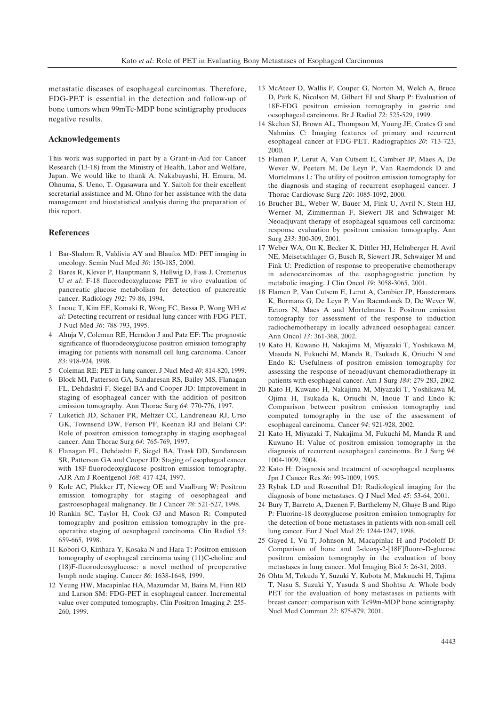metastatic diseases of esophageal carcinomas. Therefore, FDG-PET is essential in the detection and follow-up of bone tumors when 99mTc-MDP bone scintigraphy produces negative results.

### **Acknowledgements**

This work was supported in part by a Grant-in-Aid for Cancer Research (13-18) from the Ministry of Health, Labor and Welfare, Japan. We would like to thank A. Nakabayashi, H. Emura, M. Ohnuma, S. Ueno, T. Ogasawara and Y. Saitoh for their excellent secretarial assistance and M. Ohno for her assistance with the data management and biostatistical analysis during the preparation of this report.

# **References**

- 1 Bar-Shalom R, Valdivia AY and Blaufox MD: PET imaging in oncology. Semin Nucl Med *30*: 150-185, 2000.
- 2 Bares R, Klever P, Hauptmann S, Hellwig D, Fass J, Cremerius U *et al*: F-18 fluorodeoxyglucose PET *in vivo* evaluation of pancreatic glucose metabolism for detection of pancreatic cancer. Radiology *192*: 79-86, 1994.
- 3 Inoue T, Kim EE, Komaki R, Wong FC, Bassa P, Wong WH *et al*: Detecting recurrent or residual lung cancer with FDG-PET. J Nucl Med *36*: 788-793, 1995.
- 4 Ahuja V, Coleman RE, Herndon J and Patz EF: The prognostic significance of fluorodeoxyglucose positron emission tomography imaging for patients with nonsmall cell lung carcinoma. Cancer *83*: 918-924, 1998.
- 5 Coleman RE: PET in lung cancer. J Nucl Med *40*: 814-820, 1999.
- 6 Block MI, Patterson GA, Sundaresan RS, Bailey MS, Flanagan FL, Dehdashti F, Siegel BA and Cooper JD: Improvement in staging of esophageal cancer with the addition of positron emission tomography. Ann Thorac Surg *64*: 770-776, 1997.
- 7 Luketich JD, Schauer PR, Meltzer CC, Landreneau RJ, Urso GK, Townsend DW, Ferson PF, Keenan RJ and Belani CP: Role of positron emission tomography in staging esophageal cancer. Ann Thorac Surg *64*: 765-769, 1997.
- 8 Flanagan FL, Dehdashti F, Siegel BA, Trask DD, Sundaresan SR, Patterson GA and Cooper JD: Staging of esophageal cancer with 18F-fluorodeoxyglucose positron emission tomography. AJR Am J Roentgenol *168*: 417-424, 1997.
- 9 Kole AC, Plukker JT, Nieweg OE and Vaalburg W: Positron emission tomography for staging of oesophageal and gastroesophageal malignancy. Br J Cancer *78*: 521-527, 1998.
- 10 Rankin SC, Taylor H, Cook GJ and Mason R: Computed tomography and positron emission tomography in the preoperative staging of oesophageal carcinoma. Clin Radiol *53*: 659-665, 1998.
- 11 Kobori O, Kirihara Y, Kosaka N and Hara T: Positron emission tomography of esophageal carcinoma using (11)C-choline and (18)F-fluorodeoxyglucose: a novel method of preoperative lymph node staging. Cancer *86*: 1638-1648, 1999.
- 12 Yeung HW, Macapinlac HA, Mazumdar M, Bains M, Finn RD and Larson SM: FDG-PET in esophageal cancer. Incremental value over computed tomography. Clin Positron Imaging *2*: 255- 260, 1999.
- 13 McAteer D, Wallis F, Couper G, Norton M, Welch A, Bruce D, Park K, Nicolson M, Gilbert FJ and Sharp P: Evaluation of 18F-FDG positron emission tomography in gastric and oesophageal carcinoma. Br J Radiol *72*: 525-529, 1999.
- 14 Skehan SJ, Brown AL, Thompson M, Young JE, Coates G and Nahmias C: Imaging features of primary and recurrent esophageal cancer at FDG-PET. Radiographics *20*: 713-723, 2000.
- 15 Flamen P, Lerut A, Van Cutsem E, Cambier JP, Maes A, De Wever W, Peeters M, De Leyn P, Van Raemdonck D and Mortelmans L: The utility of positron emission tomography for the diagnosis and staging of recurrent esophageal cancer. J Thorac Cardiovasc Surg *120*: 1085-1092, 2000.
- 16 Brucher BL, Weber W, Bauer M, Fink U, Avril N, Stein HJ, Werner M, Zimmerman F, Siewert JR and Schwaiger M: Neoadjuvant therapy of esophageal squamous cell carcinoma: response evaluation by positron emission tomography. Ann Surg *233*: 300-309, 2001.
- 17 Weber WA, Ott K, Becker K, Dittler HJ, Helmberger H, Avril NE, Meisetschlager G, Busch R, Siewert JR, Schwaiger M and Fink U: Prediction of response to preoperative chemotherapy in adenocarcinomas of the esophagogastric junction by metabolic imaging. J Clin Oncol *19*: 3058-3065, 2001.
- 18 Flamen P, Van Cutsem E, Lerut A, Cambier JP, Haustermans K, Bormans G, De Leyn P, Van Raemdonck D, De Wever W, Ectors N, Maes A and Mortelmans L: Positron emission tomography for assessment of the response to induction radiochemotherapy in locally advanced oesophageal cancer. Ann Oncol *13*: 361-368, 2002.
- 19 Kato H, Kuwano H, Nakajima M, Miyazaki T, Yoshikawa M, Masuda N, Fukuchi M, Manda R, Tsukada K, Oriuchi N and Endo K: Usefulness of positron emission tomography for assessing the response of neoadjuvant chemoradiotherapy in patients with esophageal cancer. Am J Surg *184*: 279-283, 2002.
- 20 Kato H, Kuwano H, Nakajima M, Miyazaki T, Yoshikawa M, Ojima H, Tsukada K, Oriuchi N, Inoue T and Endo K: Comparison between positron emission tomography and computed tomography in the use of the assessment of esophageal carcinoma. Cancer *94*: 921-928, 2002.
- 21 Kato H, Miyazaki T, Nakajima M, Fukuchi M, Manda R and Kuwano H: Value of positron emission tomography in the diagnosis of recurrent oesophageal carcinoma. Br J Surg *94*: 1004-1009, 2004.
- 22 Kato H: Diagnosis and treatment of oesophageal neoplasms. Jpn J Cancer Res *86*: 993-1009, 1995.
- 23 Rybak LD and Rosenthal DI: Radiological imaging for the diagnosis of bone metastases. Q J Nucl Med *45*: 53-64, 2001.
- 24 Bury T, Barreto A, Daenen F, Barthelemy N, Ghaye B and Rigo P: Fluorine-18 deoxyglucose positron emission tomography for the detection of bone metastases in patients with non-small cell lung cancer. Eur J Nucl Med *25*: 1244-1247, 1998.
- 25 Gayed I, Vu T, Johnson M, Macapinlac H and Podoloff D: Comparison of bone and 2-deoxy-2-[18F]fluoro-D-glucose positron emission tomography in the evaluation of bony metastases in lung cancer. Mol Imaging Biol *5*: 26-31, 2003.
- 26 Ohta M, Tokuda Y, Suzuki Y, Kubota M, Makuuchi H, Tajima T, Nasu S, Suzuki Y, Yasuda S and Shohtsu A: Whole body PET for the evaluation of bony metastases in patients with breast cancer: comparison with Tc99m-MDP bone scintigraphy. Nucl Med Commun *22*: 875-879, 2001.